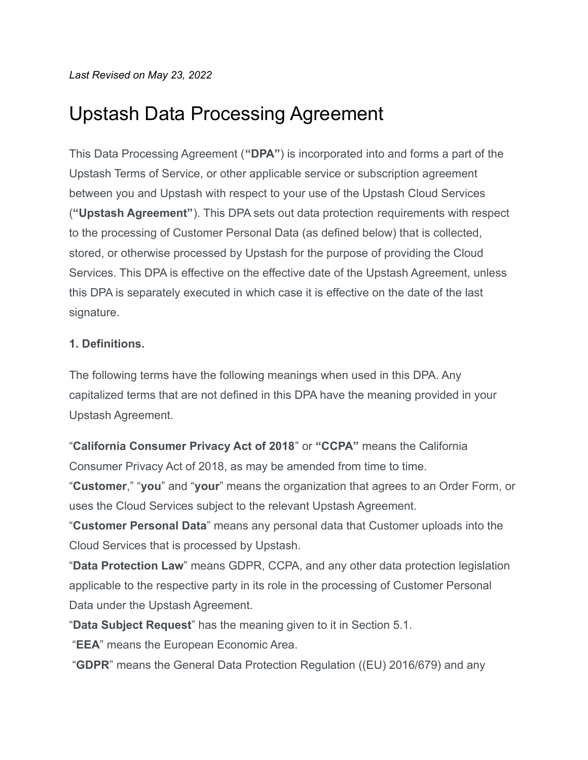# Upstash Data Processing Agreement

This Data Processing Agreement (**"DPA"**) is incorporated into and forms a part of the Upstash Terms of Service, or other applicable service or subscription agreement between you and Upstash with respect to your use of the Upstash Cloud Services (**"Upstash Agreement"**). This DPA sets out data protection requirements with respect to the processing of Customer Personal Data (as defined below) that is collected, stored, or otherwise processed by Upstash for the purpose of providing the Cloud Services. This DPA is effective on the effective date of the Upstash Agreement, unless this DPA is separately executed in which case it is effective on the date of the last signature.

#### **1. Definitions.**

The following terms have the following meanings when used in this DPA. Any capitalized terms that are not defined in this DPA have the meaning provided in your Upstash Agreement.

"**California Consumer Privacy Act of 2018**" or **"CCPA"** means the California Consumer Privacy Act of 2018, as may be amended from time to time.

"**Customer**," "**you**" and "**your**" means the organization that agrees to an Order Form, or uses the Cloud Services subject to the relevant Upstash Agreement.

"**Customer Personal Data**" means any personal data that Customer uploads into the Cloud Services that is processed by Upstash.

"**Data Protection Law**" means GDPR, CCPA, and any other data protection legislation applicable to the respective party in its role in the processing of Customer Personal Data under the Upstash Agreement.

"**Data Subject Request**" has the meaning given to it in Section 5.1.

"**EEA**" means the European Economic Area.

"**GDPR**" means the General Data Protection Regulation ((EU) 2016/679) and any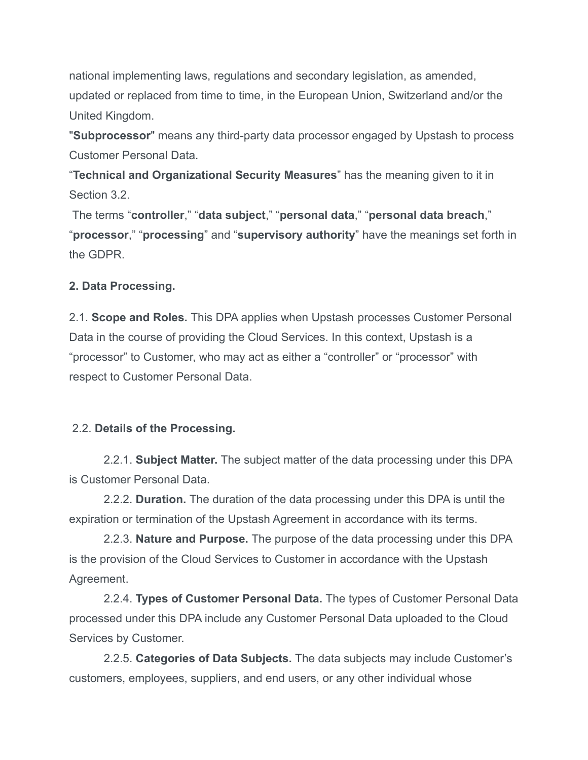national implementing laws, regulations and secondary legislation, as amended, updated or replaced from time to time, in the European Union, Switzerland and/or the United Kingdom.

"**Subprocessor**" means any third-party data processor engaged by Upstash to process Customer Personal Data.

"**Technical and Organizational Security Measures**" has the meaning given to it in Section 3.2.

The terms "**controller**," "**data subject**," "**personal data**," "**personal data breach**," "**processor**," "**processing**" and "**supervisory authority**" have the meanings set forth in the GDPR.

#### **2. Data Processing.**

2.1. **Scope and Roles.** This DPA applies when Upstash processes Customer Personal Data in the course of providing the Cloud Services. In this context, Upstash is a "processor" to Customer, who may act as either a "controller" or "processor" with respect to Customer Personal Data.

#### 2.2. **Details of the Processing.**

2.2.1. **Subject Matter.** The subject matter of the data processing under this DPA is Customer Personal Data.

2.2.2. **Duration.** The duration of the data processing under this DPA is until the expiration or termination of the Upstash Agreement in accordance with its terms.

2.2.3. **Nature and Purpose.** The purpose of the data processing under this DPA is the provision of the Cloud Services to Customer in accordance with the Upstash Agreement.

2.2.4. **Types of Customer Personal Data.** The types of Customer Personal Data processed under this DPA include any Customer Personal Data uploaded to the Cloud Services by Customer.

2.2.5. **Categories of Data Subjects.** The data subjects may include Customer's customers, employees, suppliers, and end users, or any other individual whose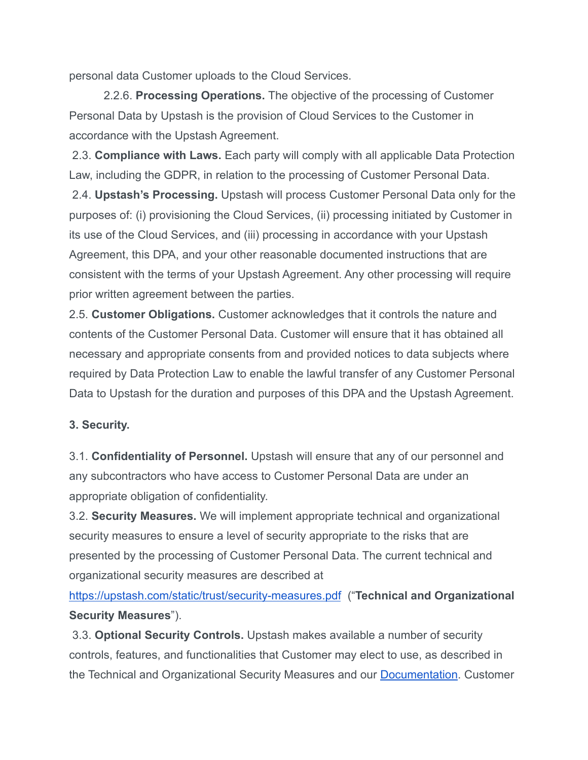personal data Customer uploads to the Cloud Services.

2.2.6. **Processing Operations.** The objective of the processing of Customer Personal Data by Upstash is the provision of Cloud Services to the Customer in accordance with the Upstash Agreement.

2.3. **Compliance with Laws.** Each party will comply with all applicable Data Protection Law, including the GDPR, in relation to the processing of Customer Personal Data.

2.4. **Upstash's Processing.** Upstash will process Customer Personal Data only for the purposes of: (i) provisioning the Cloud Services, (ii) processing initiated by Customer in its use of the Cloud Services, and (iii) processing in accordance with your Upstash Agreement, this DPA, and your other reasonable documented instructions that are consistent with the terms of your Upstash Agreement. Any other processing will require prior written agreement between the parties.

2.5. **Customer Obligations.** Customer acknowledges that it controls the nature and contents of the Customer Personal Data. Customer will ensure that it has obtained all necessary and appropriate consents from and provided notices to data subjects where required by Data Protection Law to enable the lawful transfer of any Customer Personal Data to Upstash for the duration and purposes of this DPA and the Upstash Agreement.

# **3. Security.**

3.1. **Confidentiality of Personnel.** Upstash will ensure that any of our personnel and any subcontractors who have access to Customer Personal Data are under an appropriate obligation of confidentiality.

3.2. **Security Measures.** We will implement appropriate technical and organizational security measures to ensure a level of security appropriate to the risks that are presented by the processing of Customer Personal Data. The current technical and organizational security measures are described at

<https://upstash.com/static/trust/security-measures.pdf> ("**Technical and Organizational Security Measures**").

3.3. **Optional Security Controls.** Upstash makes available a number of security controls, features, and functionalities that Customer may elect to use, as described in the Technical and Organizational Security Measures and our [Documentation.](https://docs.upstash.com/) Customer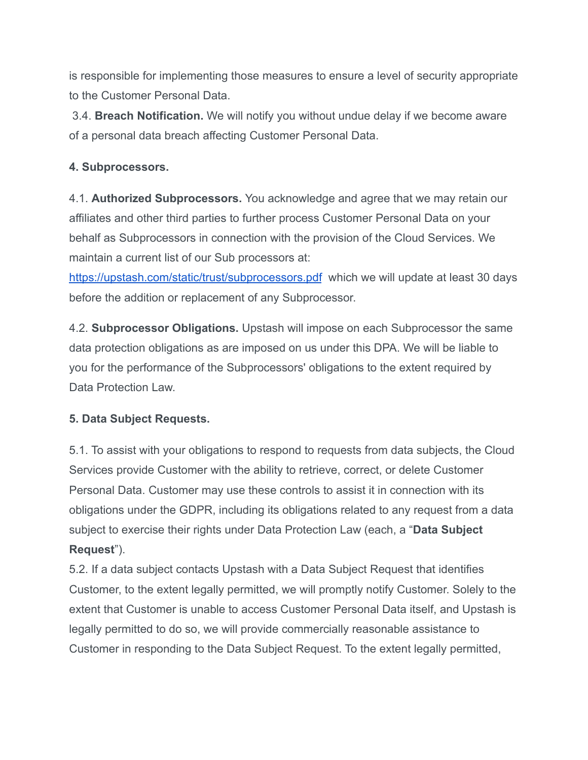is responsible for implementing those measures to ensure a level of security appropriate to the Customer Personal Data.

3.4. **Breach Notification.** We will notify you without undue delay if we become aware of a personal data breach affecting Customer Personal Data.

#### **4. Subprocessors.**

4.1. **Authorized Subprocessors.** You acknowledge and agree that we may retain our affiliates and other third parties to further process Customer Personal Data on your behalf as Subprocessors in connection with the provision of the Cloud Services. We maintain a current list of our Sub processors at:

<https://upstash.com/static/trust/subprocessors.pdf> which we will update at least 30 days before the addition or replacement of any Subprocessor.

4.2. **Subprocessor Obligations.** Upstash will impose on each Subprocessor the same data protection obligations as are imposed on us under this DPA. We will be liable to you for the performance of the Subprocessors' obligations to the extent required by Data Protection Law.

# **5. Data Subject Requests.**

5.1. To assist with your obligations to respond to requests from data subjects, the Cloud Services provide Customer with the ability to retrieve, correct, or delete Customer Personal Data. Customer may use these controls to assist it in connection with its obligations under the GDPR, including its obligations related to any request from a data subject to exercise their rights under Data Protection Law (each, a "**Data Subject Request**").

5.2. If a data subject contacts Upstash with a Data Subject Request that identifies Customer, to the extent legally permitted, we will promptly notify Customer. Solely to the extent that Customer is unable to access Customer Personal Data itself, and Upstash is legally permitted to do so, we will provide commercially reasonable assistance to Customer in responding to the Data Subject Request. To the extent legally permitted,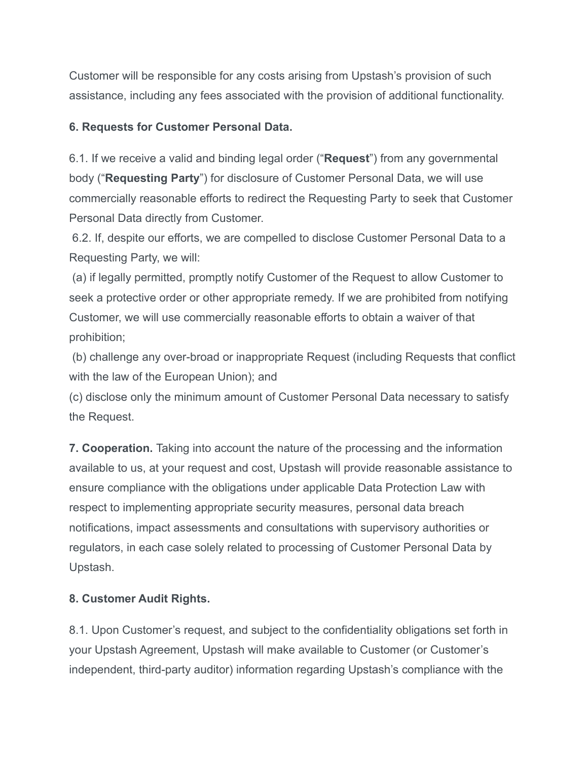Customer will be responsible for any costs arising from Upstash's provision of such assistance, including any fees associated with the provision of additional functionality.

# **6. Requests for Customer Personal Data.**

6.1. If we receive a valid and binding legal order ("**Request**") from any governmental body ("**Requesting Party**") for disclosure of Customer Personal Data, we will use commercially reasonable efforts to redirect the Requesting Party to seek that Customer Personal Data directly from Customer.

6.2. If, despite our efforts, we are compelled to disclose Customer Personal Data to a Requesting Party, we will:

(a) if legally permitted, promptly notify Customer of the Request to allow Customer to seek a protective order or other appropriate remedy. If we are prohibited from notifying Customer, we will use commercially reasonable efforts to obtain a waiver of that prohibition;

(b) challenge any over-broad or inappropriate Request (including Requests that conflict with the law of the European Union); and

(c) disclose only the minimum amount of Customer Personal Data necessary to satisfy the Request.

**7. Cooperation.** Taking into account the nature of the processing and the information available to us, at your request and cost, Upstash will provide reasonable assistance to ensure compliance with the obligations under applicable Data Protection Law with respect to implementing appropriate security measures, personal data breach notifications, impact assessments and consultations with supervisory authorities or regulators, in each case solely related to processing of Customer Personal Data by Upstash.

# **8. Customer Audit Rights.**

8.1. Upon Customer's request, and subject to the confidentiality obligations set forth in your Upstash Agreement, Upstash will make available to Customer (or Customer's independent, third-party auditor) information regarding Upstash's compliance with the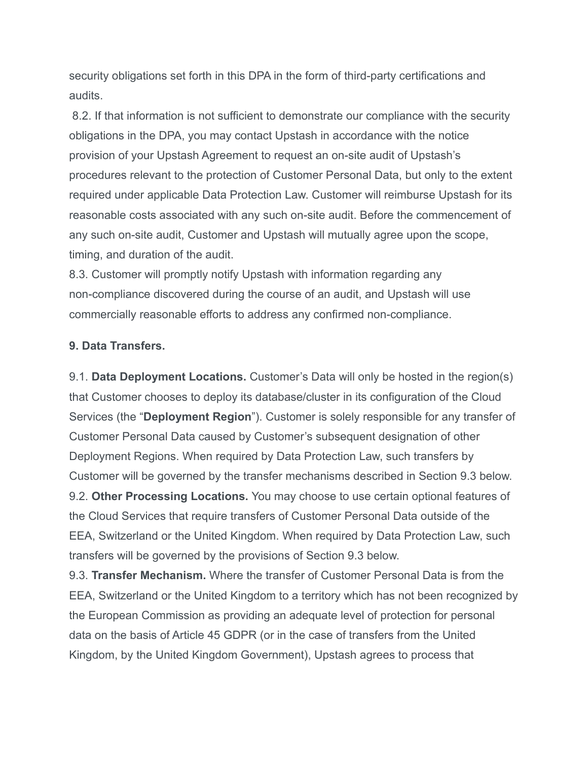security obligations set forth in this DPA in the form of third-party certifications and audits.

8.2. If that information is not sufficient to demonstrate our compliance with the security obligations in the DPA, you may contact Upstash in accordance with the notice provision of your Upstash Agreement to request an on-site audit of Upstash's procedures relevant to the protection of Customer Personal Data, but only to the extent required under applicable Data Protection Law. Customer will reimburse Upstash for its reasonable costs associated with any such on-site audit. Before the commencement of any such on-site audit, Customer and Upstash will mutually agree upon the scope, timing, and duration of the audit.

8.3. Customer will promptly notify Upstash with information regarding any non-compliance discovered during the course of an audit, and Upstash will use commercially reasonable efforts to address any confirmed non-compliance.

#### **9. Data Transfers.**

9.1. **Data Deployment Locations.** Customer's Data will only be hosted in the region(s) that Customer chooses to deploy its database/cluster in its configuration of the Cloud Services (the "**Deployment Region**"). Customer is solely responsible for any transfer of Customer Personal Data caused by Customer's subsequent designation of other Deployment Regions. When required by Data Protection Law, such transfers by Customer will be governed by the transfer mechanisms described in Section 9.3 below. 9.2. **Other Processing Locations.** You may choose to use certain optional features of the Cloud Services that require transfers of Customer Personal Data outside of the EEA, Switzerland or the United Kingdom. When required by Data Protection Law, such transfers will be governed by the provisions of Section 9.3 below.

9.3. **Transfer Mechanism.** Where the transfer of Customer Personal Data is from the EEA, Switzerland or the United Kingdom to a territory which has not been recognized by the European Commission as providing an adequate level of protection for personal data on the basis of Article 45 GDPR (or in the case of transfers from the United Kingdom, by the United Kingdom Government), Upstash agrees to process that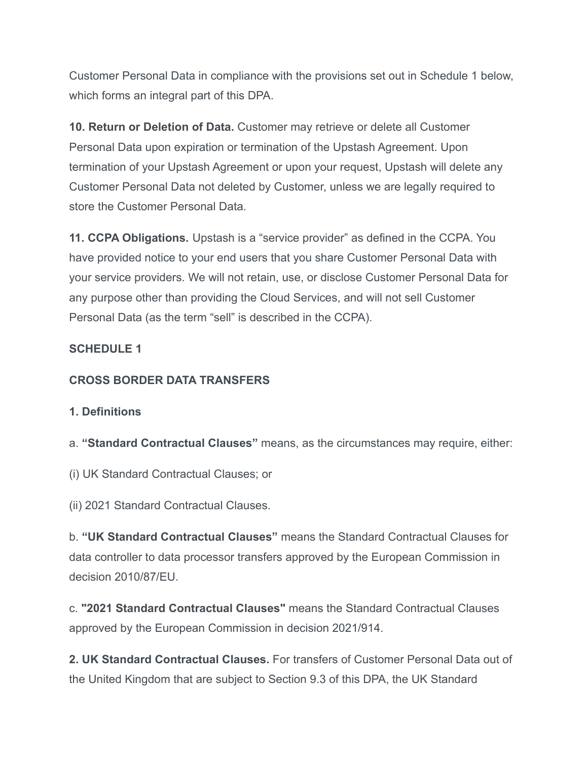Customer Personal Data in compliance with the provisions set out in Schedule 1 below, which forms an integral part of this DPA.

**10. Return or Deletion of Data.** Customer may retrieve or delete all Customer Personal Data upon expiration or termination of the Upstash Agreement. Upon termination of your Upstash Agreement or upon your request, Upstash will delete any Customer Personal Data not deleted by Customer, unless we are legally required to store the Customer Personal Data.

**11. CCPA Obligations.** Upstash is a "service provider" as defined in the CCPA. You have provided notice to your end users that you share Customer Personal Data with your service providers. We will not retain, use, or disclose Customer Personal Data for any purpose other than providing the Cloud Services, and will not sell Customer Personal Data (as the term "sell" is described in the CCPA).

# **SCHEDULE 1**

#### **CROSS BORDER DATA TRANSFERS**

**1. Definitions**

a. **"Standard Contractual Clauses"** means, as the circumstances may require, either:

(i) UK Standard Contractual Clauses; or

(ii) 2021 Standard Contractual Clauses.

b. **"UK Standard Contractual Clauses"** means the Standard Contractual Clauses for data controller to data processor transfers approved by the European Commission in decision 2010/87/EU.

c. **"2021 Standard Contractual Clauses"** means the Standard Contractual Clauses approved by the European Commission in decision 2021/914.

**2. UK Standard Contractual Clauses.** For transfers of Customer Personal Data out of the United Kingdom that are subject to Section 9.3 of this DPA, the UK Standard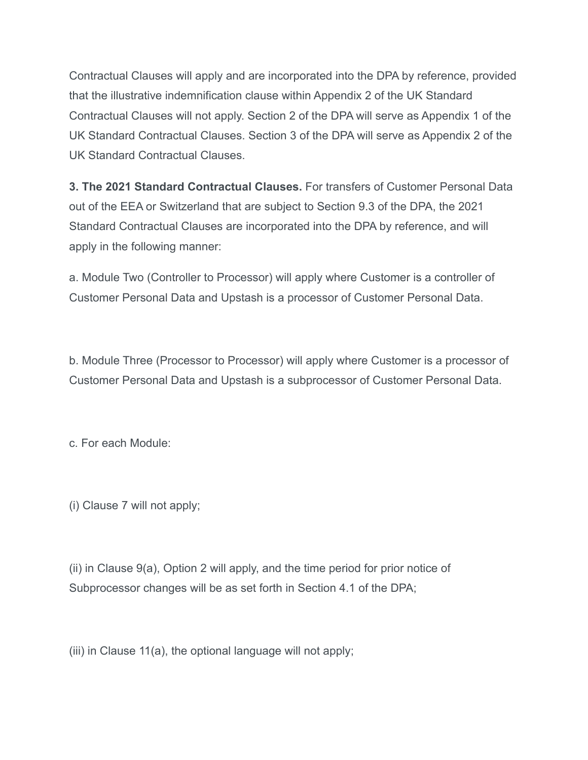Contractual Clauses will apply and are incorporated into the DPA by reference, provided that the illustrative indemnification clause within Appendix 2 of the UK Standard Contractual Clauses will not apply. Section 2 of the DPA will serve as Appendix 1 of the UK Standard Contractual Clauses. Section 3 of the DPA will serve as Appendix 2 of the UK Standard Contractual Clauses.

**3. The 2021 Standard Contractual Clauses.** For transfers of Customer Personal Data out of the EEA or Switzerland that are subject to Section 9.3 of the DPA, the 2021 Standard Contractual Clauses are incorporated into the DPA by reference, and will apply in the following manner:

a. Module Two (Controller to Processor) will apply where Customer is a controller of Customer Personal Data and Upstash is a processor of Customer Personal Data.

b. Module Three (Processor to Processor) will apply where Customer is a processor of Customer Personal Data and Upstash is a subprocessor of Customer Personal Data.

c. For each Module:

(i) Clause 7 will not apply;

(ii) in Clause 9(a), Option 2 will apply, and the time period for prior notice of Subprocessor changes will be as set forth in Section 4.1 of the DPA;

(iii) in Clause 11(a), the optional language will not apply;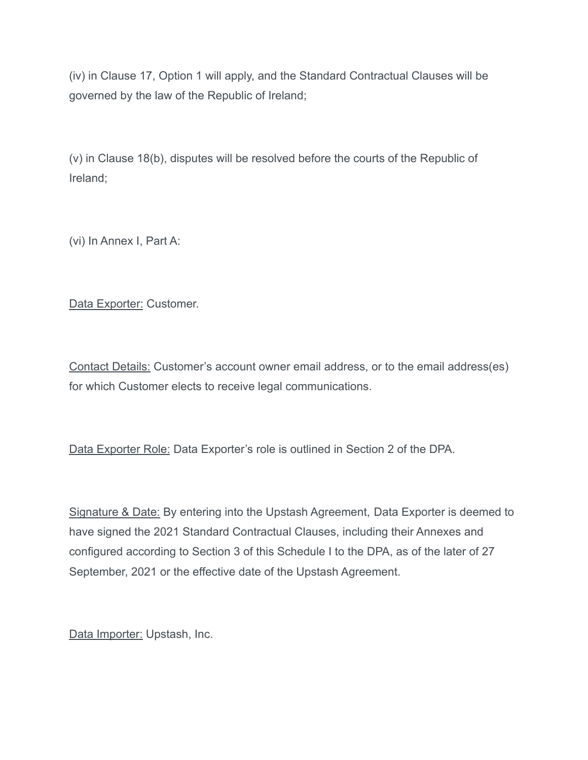(iv) in Clause 17, Option 1 will apply, and the Standard Contractual Clauses will be governed by the law of the Republic of Ireland;

(v) in Clause 18(b), disputes will be resolved before the courts of the Republic of Ireland;

(vi) In Annex I, Part A:

Data Exporter: Customer.

Contact Details: Customer's account owner email address, or to the email address(es) for which Customer elects to receive legal communications.

Data Exporter Role: Data Exporter's role is outlined in Section 2 of the DPA.

Signature & Date: By entering into the Upstash Agreement, Data Exporter is deemed to have signed the 2021 Standard Contractual Clauses, including their Annexes and configured according to Section 3 of this Schedule I to the DPA, as of the later of 27 September, 2021 or the effective date of the Upstash Agreement.

Data Importer: Upstash, Inc.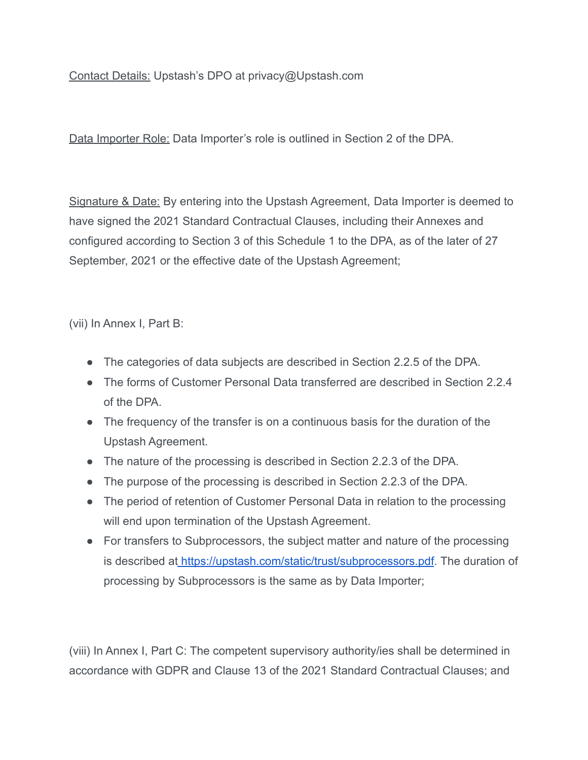Contact Details: Upstash's DPO at privacy@Upstash.com

Data Importer Role: Data Importer's role is outlined in Section 2 of the DPA.

Signature & Date: By entering into the Upstash Agreement, Data Importer is deemed to have signed the 2021 Standard Contractual Clauses, including their Annexes and configured according to Section 3 of this Schedule 1 to the DPA, as of the later of 27 September, 2021 or the effective date of the Upstash Agreement;

(vii) In Annex I, Part B:

- The categories of data subjects are described in Section 2.2.5 of the DPA.
- The forms of Customer Personal Data transferred are described in Section 2.2.4 of the DPA.
- The frequency of the transfer is on a continuous basis for the duration of the Upstash Agreement.
- The nature of the processing is described in Section 2.2.3 of the DPA.
- The purpose of the processing is described in Section 2.2.3 of the DPA.
- The period of retention of Customer Personal Data in relation to the processing will end upon termination of the Upstash Agreement.
- For transfers to Subprocessors, the subject matter and nature of the processing is described at <https://upstash.com/static/trust/subprocessors.pdf>. The duration of processing by Subprocessors is the same as by Data Importer;

(viii) In Annex I, Part C: The competent supervisory authority/ies shall be determined in accordance with GDPR and Clause 13 of the 2021 Standard Contractual Clauses; and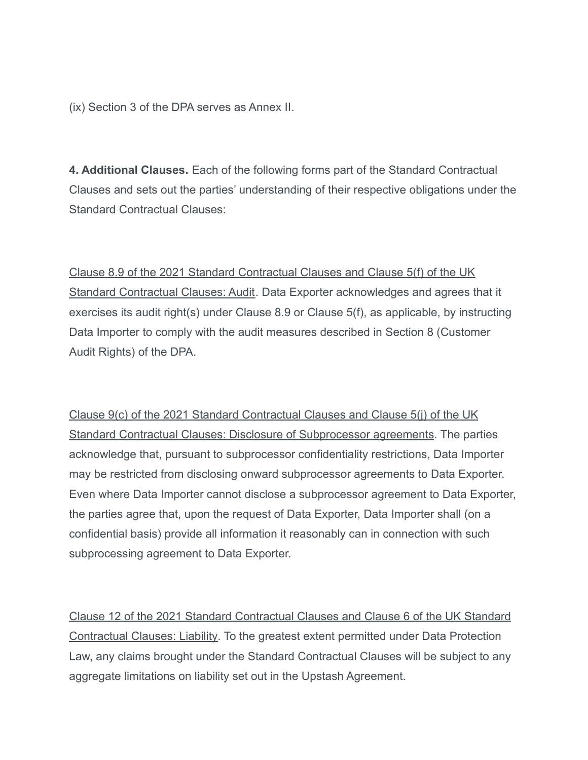(ix) Section 3 of the DPA serves as Annex II.

**4. Additional Clauses.** Each of the following forms part of the Standard Contractual Clauses and sets out the parties' understanding of their respective obligations under the Standard Contractual Clauses:

Clause 8.9 of the 2021 Standard Contractual Clauses and Clause 5(f) of the UK Standard Contractual Clauses: Audit. Data Exporter acknowledges and agrees that it exercises its audit right(s) under Clause 8.9 or Clause 5(f), as applicable, by instructing Data Importer to comply with the audit measures described in Section 8 (Customer Audit Rights) of the DPA.

Clause 9(c) of the 2021 Standard Contractual Clauses and Clause 5(j) of the UK Standard Contractual Clauses: Disclosure of Subprocessor agreements. The parties acknowledge that, pursuant to subprocessor confidentiality restrictions, Data Importer may be restricted from disclosing onward subprocessor agreements to Data Exporter. Even where Data Importer cannot disclose a subprocessor agreement to Data Exporter, the parties agree that, upon the request of Data Exporter, Data Importer shall (on a confidential basis) provide all information it reasonably can in connection with such subprocessing agreement to Data Exporter.

Clause 12 of the 2021 Standard Contractual Clauses and Clause 6 of the UK Standard Contractual Clauses: Liability. To the greatest extent permitted under Data Protection Law, any claims brought under the Standard Contractual Clauses will be subject to any aggregate limitations on liability set out in the Upstash Agreement.